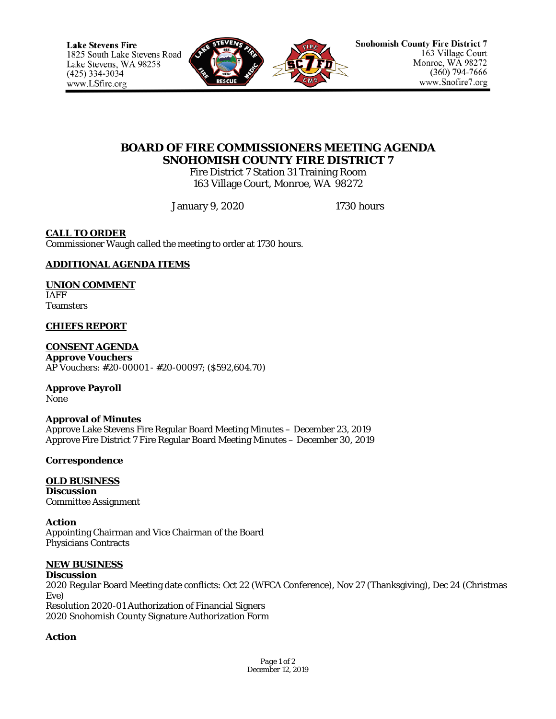

# **BOARD OF FIRE COMMISSIONERS MEETING AGENDA SNOHOMISH COUNTY FIRE DISTRICT 7**

Fire District 7 Station 31 Training Room 163 Village Court, Monroe, WA 98272

January 9, 2020 1730 hours

## **CALL TO ORDER**

Commissioner Waugh called the meeting to order at 1730 hours.

## **ADDITIONAL AGENDA ITEMS**

### **UNION COMMENT**

IAFF Teamsters

### **CHIEFS REPORT**

#### **CONSENT AGENDA Approve Vouchers**

AP Vouchers: #20-00001 - #20-00097; (\$592,604.70)

#### **Approve Payroll** None

### **Approval of Minutes**

Approve Lake Stevens Fire Regular Board Meeting Minutes – December 23, 2019 Approve Fire District 7 Fire Regular Board Meeting Minutes – December 30, 2019

### **Correspondence**

#### **OLD BUSINESS Discussion** Committee Assignment

**Action** Appointing Chairman and Vice Chairman of the Board Physicians Contracts

### **NEW BUSINESS**

#### **Discussion** 2020 Regular Board Meeting date conflicts: Oct 22 (WFCA Conference), Nov 27 (Thanksgiving), Dec 24 (Christmas Eve) Resolution 2020-01 Authorization of Financial Signers 2020 Snohomish County Signature Authorization Form

### **Action**